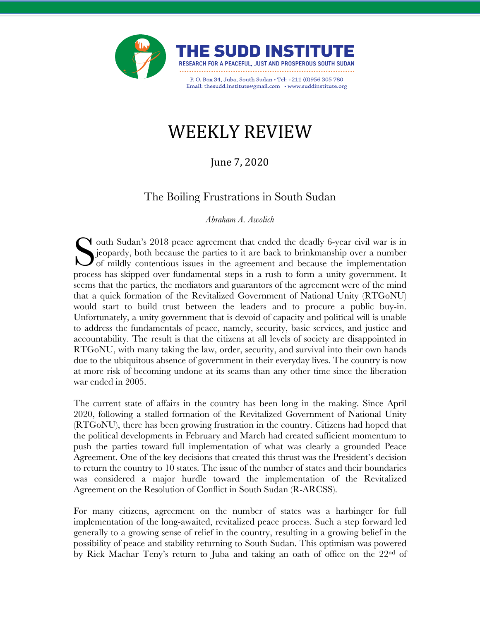

# WEEKLY REVIEW

### June 7, 2020

## The Boiling Frustrations in South Sudan

*Abraham A. Awolich* 

**Y** outh Sudan's 2018 peace agreement that ended the deadly 6-year civil war is in jeopardy, both because the parties to it are back to brinkmanship over a number **J** of mildly contentious issues in the agreement and because the implementation Sultan's 2018 peace agreement that ended the deadly 6-year civil war is in jeopardy, both because the parties to it are back to brinkmanship over a number of mildly contentious issues in the agreement and because the imple seems that the parties, the mediators and guarantors of the agreement were of the mind that a quick formation of the Revitalized Government of National Unity (RTGoNU) would start to build trust between the leaders and to procure a public buy-in. Unfortunately, a unity government that is devoid of capacity and political will is unable to address the fundamentals of peace, namely, security, basic services, and justice and accountability. The result is that the citizens at all levels of society are disappointed in RTGoNU, with many taking the law, order, security, and survival into their own hands due to the ubiquitous absence of government in their everyday lives. The country is now at more risk of becoming undone at its seams than any other time since the liberation war ended in 2005.

The current state of affairs in the country has been long in the making. Since April 2020, following a stalled formation of the Revitalized Government of National Unity (RTGoNU), there has been growing frustration in the country. Citizens had hoped that the political developments in February and March had created sufficient momentum to push the parties toward full implementation of what was clearly a grounded Peace Agreement. One of the key decisions that created this thrust was the President's decision to return the country to 10 states. The issue of the number of states and their boundaries was considered a major hurdle toward the implementation of the Revitalized Agreement on the Resolution of Conflict in South Sudan (R-ARCSS).

For many citizens, agreement on the number of states was a harbinger for full implementation of the long-awaited, revitalized peace process. Such a step forward led generally to a growing sense of relief in the country, resulting in a growing belief in the possibility of peace and stability returning to South Sudan. This optimism was powered by Riek Machar Teny's return to Juba and taking an oath of office on the 22<sup>nd</sup> of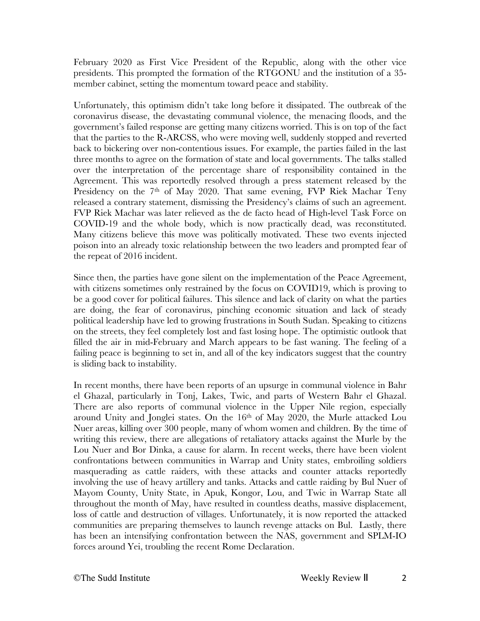February 2020 as First Vice President of the Republic, along with the other vice presidents. This prompted the formation of the RTGONU and the institution of a 35 member cabinet, setting the momentum toward peace and stability.

Unfortunately, this optimism didn't take long before it dissipated. The outbreak of the coronavirus disease, the devastating communal violence, the menacing floods, and the government's failed response are getting many citizens worried. This is on top of the fact that the parties to the R-ARCSS, who were moving well, suddenly stopped and reverted back to bickering over non-contentious issues. For example, the parties failed in the last three months to agree on the formation of state and local governments. The talks stalled over the interpretation of the percentage share of responsibility contained in the Agreement. This was reportedly resolved through a press statement released by the Presidency on the 7<sup>th</sup> of May 2020. That same evening, FVP Riek Machar Teny released a contrary statement, dismissing the Presidency's claims of such an agreement. FVP Riek Machar was later relieved as the de facto head of High-level Task Force on COVID-19 and the whole body, which is now practically dead, was reconstituted. Many citizens believe this move was politically motivated. These two events injected poison into an already toxic relationship between the two leaders and prompted fear of the repeat of 2016 incident.

Since then, the parties have gone silent on the implementation of the Peace Agreement, with citizens sometimes only restrained by the focus on COVID19, which is proving to be a good cover for political failures. This silence and lack of clarity on what the parties are doing, the fear of coronavirus, pinching economic situation and lack of steady political leadership have led to growing frustrations in South Sudan. Speaking to citizens on the streets, they feel completely lost and fast losing hope. The optimistic outlook that filled the air in mid-February and March appears to be fast waning. The feeling of a failing peace is beginning to set in, and all of the key indicators suggest that the country is sliding back to instability.

In recent months, there have been reports of an upsurge in communal violence in Bahr el Ghazal, particularly in Tonj, Lakes, Twic, and parts of Western Bahr el Ghazal. There are also reports of communal violence in the Upper Nile region, especially around Unity and Jonglei states. On the 16<sup>th</sup> of May 2020, the Murle attacked Lou Nuer areas, killing over 300 people, many of whom women and children. By the time of writing this review, there are allegations of retaliatory attacks against the Murle by the Lou Nuer and Bor Dinka, a cause for alarm. In recent weeks, there have been violent confrontations between communities in Warrap and Unity states, embroiling soldiers masquerading as cattle raiders, with these attacks and counter attacks reportedly involving the use of heavy artillery and tanks. Attacks and cattle raiding by Bul Nuer of Mayom County, Unity State, in Apuk, Kongor, Lou, and Twic in Warrap State all throughout the month of May, have resulted in countless deaths, massive displacement, loss of cattle and destruction of villages. Unfortunately, it is now reported the attacked communities are preparing themselves to launch revenge attacks on Bul. Lastly, there has been an intensifying confrontation between the NAS, government and SPLM-IO forces around Yei, troubling the recent Rome Declaration.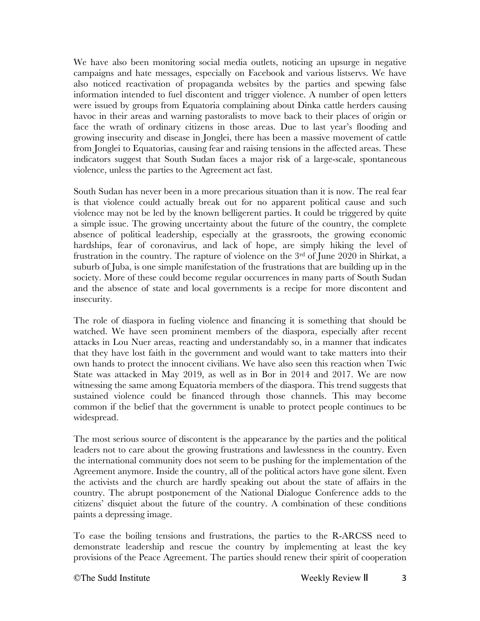We have also been monitoring social media outlets, noticing an upsurge in negative campaigns and hate messages, especially on Facebook and various listservs. We have also noticed reactivation of propaganda websites by the parties and spewing false information intended to fuel discontent and trigger violence. A number of open letters were issued by groups from Equatoria complaining about Dinka cattle herders causing havoc in their areas and warning pastoralists to move back to their places of origin or face the wrath of ordinary citizens in those areas. Due to last year's flooding and growing insecurity and disease in Jonglei, there has been a massive movement of cattle from Jonglei to Equatorias, causing fear and raising tensions in the affected areas. These indicators suggest that South Sudan faces a major risk of a large-scale, spontaneous violence, unless the parties to the Agreement act fast.

South Sudan has never been in a more precarious situation than it is now. The real fear is that violence could actually break out for no apparent political cause and such violence may not be led by the known belligerent parties. It could be triggered by quite a simple issue. The growing uncertainty about the future of the country, the complete absence of political leadership, especially at the grassroots, the growing economic hardships, fear of coronavirus, and lack of hope, are simply hiking the level of frustration in the country. The rapture of violence on the 3rd of June 2020 in Shirkat, a suburb of Juba, is one simple manifestation of the frustrations that are building up in the society. More of these could become regular occurrences in many parts of South Sudan and the absence of state and local governments is a recipe for more discontent and insecurity.

The role of diaspora in fueling violence and financing it is something that should be watched. We have seen prominent members of the diaspora, especially after recent attacks in Lou Nuer areas, reacting and understandably so, in a manner that indicates that they have lost faith in the government and would want to take matters into their own hands to protect the innocent civilians. We have also seen this reaction when Twic State was attacked in May 2019, as well as in Bor in 2014 and 2017. We are now witnessing the same among Equatoria members of the diaspora. This trend suggests that sustained violence could be financed through those channels. This may become common if the belief that the government is unable to protect people continues to be widespread.

The most serious source of discontent is the appearance by the parties and the political leaders not to care about the growing frustrations and lawlessness in the country. Even the international community does not seem to be pushing for the implementation of the Agreement anymore. Inside the country, all of the political actors have gone silent. Even the activists and the church are hardly speaking out about the state of affairs in the country. The abrupt postponement of the National Dialogue Conference adds to the citizens' disquiet about the future of the country. A combination of these conditions paints a depressing image.

To ease the boiling tensions and frustrations, the parties to the R-ARCSS need to demonstrate leadership and rescue the country by implementing at least the key provisions of the Peace Agreement. The parties should renew their spirit of cooperation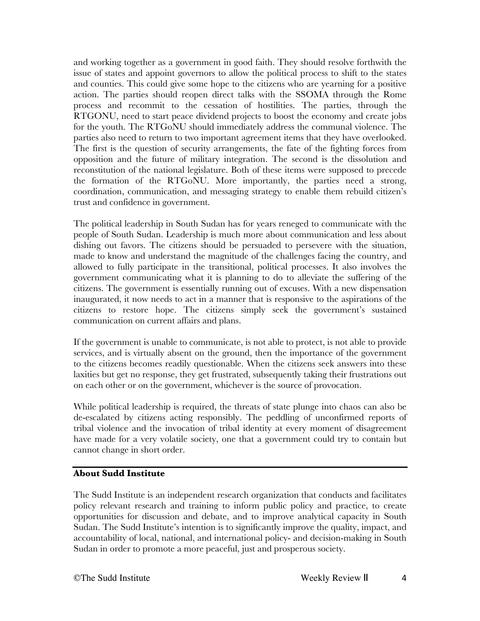and working together as a government in good faith. They should resolve forthwith the issue of states and appoint governors to allow the political process to shift to the states and counties. This could give some hope to the citizens who are yearning for a positive action. The parties should reopen direct talks with the SSOMA through the Rome process and recommit to the cessation of hostilities. The parties, through the RTGONU, need to start peace dividend projects to boost the economy and create jobs for the youth. The RTGoNU should immediately address the communal violence. The parties also need to return to two important agreement items that they have overlooked. The first is the question of security arrangements, the fate of the fighting forces from opposition and the future of military integration. The second is the dissolution and reconstitution of the national legislature. Both of these items were supposed to precede the formation of the RTGoNU. More importantly, the parties need a strong, coordination, communication, and messaging strategy to enable them rebuild citizen's trust and confidence in government.

The political leadership in South Sudan has for years reneged to communicate with the people of South Sudan. Leadership is much more about communication and less about dishing out favors. The citizens should be persuaded to persevere with the situation, made to know and understand the magnitude of the challenges facing the country, and allowed to fully participate in the transitional, political processes. It also involves the government communicating what it is planning to do to alleviate the suffering of the citizens. The government is essentially running out of excuses. With a new dispensation inaugurated, it now needs to act in a manner that is responsive to the aspirations of the citizens to restore hope. The citizens simply seek the government's sustained communication on current affairs and plans.

If the government is unable to communicate, is not able to protect, is not able to provide services, and is virtually absent on the ground, then the importance of the government to the citizens becomes readily questionable. When the citizens seek answers into these laxities but get no response, they get frustrated, subsequently taking their frustrations out on each other or on the government, whichever is the source of provocation.

While political leadership is required, the threats of state plunge into chaos can also be de-escalated by citizens acting responsibly. The peddling of unconfirmed reports of tribal violence and the invocation of tribal identity at every moment of disagreement have made for a very volatile society, one that a government could try to contain but cannot change in short order.

#### **About Sudd Institute**

The Sudd Institute is an independent research organization that conducts and facilitates policy relevant research and training to inform public policy and practice, to create opportunities for discussion and debate, and to improve analytical capacity in South Sudan. The Sudd Institute's intention is to significantly improve the quality, impact, and accountability of local, national, and international policy- and decision-making in South Sudan in order to promote a more peaceful, just and prosperous society.